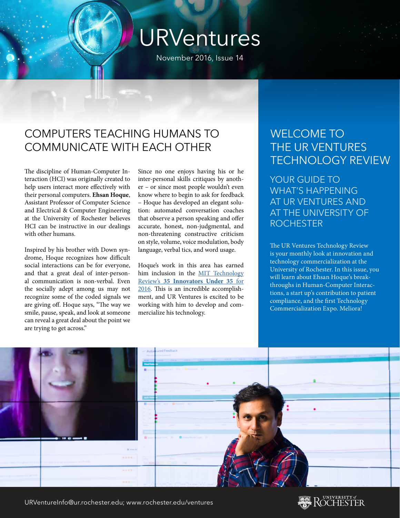# URVentures

November 2016, Issue 14

#### COMPUTERS TEACHING HUMANS TO COMMUNICATE WITH EACH OTHER

The discipline of Human-Computer Interaction (HCI) was originally created to help users interact more effectively with their personal computers. **Ehsan Hoque**, Assistant Professor of Computer Science and Electrical & Computer Engineering at the University of Rochester believes HCI can be instructive in our dealings with other humans.

Inspired by his brother with Down syndrome, Hoque recognizes how difficult social interactions can be for everyone, and that a great deal of inter-personal communication is non-verbal. Even the socially adept among us may not recognize some of the coded signals we are giving off. Hoque says, "The way we smile, pause, speak, and look at someone can reveal a great deal about the point we are trying to get across."

Since no one enjoys having his or he inter-personal skills critiques by another – or since most people wouldn't even know where to begin to ask for feedback – Hoque has developed an elegant solution: automated conversation coaches that observe a person speaking and offer accurate, honest, non-judgmental, and non-threatening constructive criticism on style, volume, voice modulation, body language, verbal tics, and word usage.

Hoque's work in this area has earned him inclusion in the [MIT Technology](https://www.technologyreview.com/lists/innovators-under-35/2016/humanitarian/ehsan-hoque/) Review's **[35 Innovators Under 35](https://www.technologyreview.com/lists/innovators-under-35/2016/humanitarian/ehsan-hoque/)** for [2016.](https://www.technologyreview.com/lists/innovators-under-35/2016/humanitarian/ehsan-hoque/) This is an incredible accomplishment, and UR Ventures is excited to be working with him to develop and commercialize his technology.

#### WELCOME TO THE UR VENTURES TECHNOLOGY REVIEW

YOUR GUIDE TO WHAT'S HAPPENING AT UR VENTURES AND AT THE UNIVERSITY OF ROCHESTER

The UR Ventures Technology Review is your monthly look at innovation and technology commercialization at the University of Rochester. In this issue, you will learn about Ehsan Hoque's breakthroughs in Human-Computer Interactions, a start up's contribution to patient compliance, and the first Technology Commercialization Expo. Meliora!